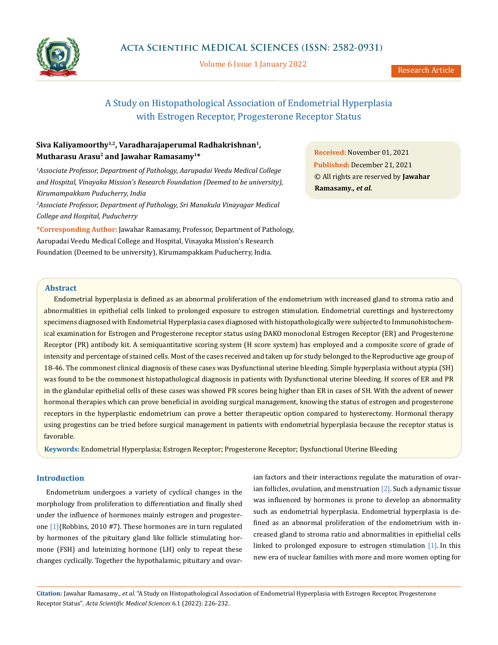

Volume 6 Issue 1 January 2022

# A Study on Histopathological Association of Endometrial Hyperplasia with Estrogen Receptor, Progesterone Receptor Status

## Siva Kaliyamoorthy<sup>1,2</sup>, Varadharajaperumal Radhakrishnan<sup>1</sup>, **Mutharasu Arasu2 and Jawahar Ramasamy1\***

*1 Associate Professor, Department of Pathology, Aarupadai Veedu Medical College and Hospital, Vinayaka Mission's Research Foundation (Deemed to be university), Kirumampakkam Puducherry, India*

*2 Associate Professor, Department of Pathology, Sri Manakula Vinayagar Medical College and Hospital, Puducherry*

**\*Corresponding Author:** Jawahar Ramasamy, Professor, Department of Pathology, Aarupadai Veedu Medical College and Hospital, Vinayaka Mission's Research Foundation (Deemed to be university), Kirumampakkam Puducherry, India.

**Received:** November 01, 2021 **Published:** December 21, 2021 © All rights are reserved by **Jawahar Ramasamy***., et al.*

## **Abstract**

Endometrial hyperplasia is defined as an abnormal proliferation of the endometrium with increased gland to stroma ratio and abnormalities in epithelial cells linked to prolonged exposure to estrogen stimulation. Endometrial curettings and hysterectomy specimens diagnosed with Endometrial Hyperplasia cases diagnosed with histopathologically were subjected to Immunohistochemical examination for Estrogen and Progesterone receptor status using DAKO monoclonal Estrogen Receptor (ER) and Progesterone Receptor (PR) antibody kit. A semiquantitative scoring system (H score system) has employed and a composite score of grade of intensity and percentage of stained cells. Most of the cases received and taken up for study belonged to the Reproductive age group of 18-46. The commonest clinical diagnosis of these cases was Dysfunctional uterine bleeding. Simple hyperplasia without atypia (SH) was found to be the commonest histopathological diagnosis in patients with Dysfunctional uterine bleeding. H scores of ER and PR in the glandular epithelial cells of these cases was showed PR scores being higher than ER in cases of SH. With the advent of newer hormonal therapies which can prove beneficial in avoiding surgical management, knowing the status of estrogen and progesterone receptors in the hyperplastic endometrium can prove a better therapeutic option compared to hysterectomy. Hormonal therapy using progestins can be tried before surgical management in patients with endometrial hyperplasia because the receptor status is favorable.

**Keywords:** Endometrial Hyperplasia; Estrogen Receptor; Progesterone Receptor; Dysfunctional Uterine Bleeding

#### **Introduction**

Endometrium undergoes a variety of cyclical changes in the morphology from proliferation to differentiation and finally shed under the influence of hormones mainly estrogen and progesterone [1]{Robbins, 2010 #7}. These hormones are in turn regulated by hormones of the pituitary gland like follicle stimulating hormone (FSH) and luteinizing hormone (LH) only to repeat these changes cyclically. Together the hypothalamic, pituitary and ovar-

ian factors and their interactions regulate the maturation of ovarian follicles, ovulation, and menstruation  $[2]$ . Such a dynamic tissue was influenced by hormones is prone to develop an abnormality such as endometrial hyperplasia. Endometrial hyperplasia is defined as an abnormal proliferation of the endometrium with increased gland to stroma ratio and abnormalities in epithelial cells linked to prolonged exposure to estrogen stimulation [1]. In this new era of nuclear families with more and more women opting for

**Citation:** Jawahar Ramasamy*., et al.* "A Study on Histopathological Association of Endometrial Hyperplasia with Estrogen Receptor, Progesterone Receptor Status". *Acta Scientific Medical Sciences* 6.1 (2022): 226-232.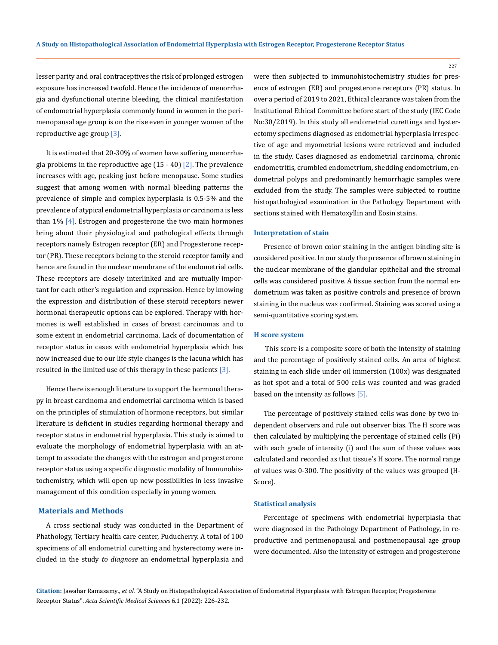lesser parity and oral contraceptives the risk of prolonged estrogen exposure has increased twofold. Hence the incidence of menorrhagia and dysfunctional uterine bleeding, the clinical manifestation of endometrial hyperplasia commonly found in women in the perimenopausal age group is on the rise even in younger women of the reproductive age group [3].

It is estimated that 20-30% of women have suffering menorrhagia problems in the reproductive age  $(15 - 40)$   $[2]$ . The prevalence increases with age, peaking just before menopause. Some studies suggest that among women with normal bleeding patterns the prevalence of simple and complex hyperplasia is 0.5-5% and the prevalence of atypical endometrial hyperplasia or carcinoma is less than  $1\%$  [4]. Estrogen and progesterone the two main hormones bring about their physiological and pathological effects through receptors namely Estrogen receptor (ER) and Progesterone receptor (PR). These receptors belong to the steroid receptor family and hence are found in the nuclear membrane of the endometrial cells. These receptors are closely interlinked and are mutually important for each other's regulation and expression. Hence by knowing the expression and distribution of these steroid receptors newer hormonal therapeutic options can be explored. Therapy with hormones is well established in cases of breast carcinomas and to some extent in endometrial carcinoma. Lack of documentation of receptor status in cases with endometrial hyperplasia which has now increased due to our life style changes is the lacuna which has resulted in the limited use of this therapy in these patients [3].

Hence there is enough literature to support the hormonal therapy in breast carcinoma and endometrial carcinoma which is based on the principles of stimulation of hormone receptors, but similar literature is deficient in studies regarding hormonal therapy and receptor status in endometrial hyperplasia. This study is aimed to evaluate the morphology of endometrial hyperplasia with an attempt to associate the changes with the estrogen and progesterone receptor status using a specific diagnostic modality of Immunohistochemistry, which will open up new possibilities in less invasive management of this condition especially in young women.

#### **Materials and Methods**

A cross sectional study was conducted in the Department of Phathology, Tertiary health care center, Puducherry. A total of 100 specimens of all endometrial curetting and hysterectomy were included in the study *to diagnose* an endometrial hyperplasia and

were then subjected to immunohistochemistry studies for presence of estrogen (ER) and progesterone receptors (PR) status. In over a period of 2019 to 2021, Ethical clearance was taken from the Institutional Ethical Committee before start of the study (IEC Code No:30/2019). In this study all endometrial curettings and hysterectomy specimens diagnosed as endometrial hyperplasia irrespective of age and myometrial lesions were retrieved and included in the study. Cases diagnosed as endometrial carcinoma, chronic endometritis, crumbled endometrium, shedding endometrium, endometrial polyps and predominantly hemorrhagic samples were excluded from the study. The samples were subjected to routine histopathological examination in the Pathology Department with sections stained with Hematoxyllin and Eosin stains.

#### **Interpretation of stain**

Presence of brown color staining in the antigen binding site is considered positive. In our study the presence of brown staining in the nuclear membrane of the glandular epithelial and the stromal cells was considered positive. A tissue section from the normal endometrium was taken as positive controls and presence of brown staining in the nucleus was confirmed. Staining was scored using a semi-quantitative scoring system.

#### **H score system**

 This score is a composite score of both the intensity of staining and the percentage of positively stained cells. An area of highest staining in each slide under oil immersion (100x) was designated as hot spot and a total of 500 cells was counted and was graded based on the intensity as follows [5].

The percentage of positively stained cells was done by two independent observers and rule out observer bias. The H score was then calculated by multiplying the percentage of stained cells (Pi) with each grade of intensity (i) and the sum of these values was calculated and recorded as that tissue's H score. The normal range of values was 0-300. The positivity of the values was grouped (H-Score).

#### **Statistical analysis**

Percentage of specimens with endometrial hyperplasia that were diagnosed in the Pathology Department of Pathology, in reproductive and perimenopausal and postmenopausal age group were documented. Also the intensity of estrogen and progesterone

**Citation:** Jawahar Ramasamy*., et al.* "A Study on Histopathological Association of Endometrial Hyperplasia with Estrogen Receptor, Progesterone Receptor Status". *Acta Scientific Medical Sciences* 6.1 (2022): 226-232.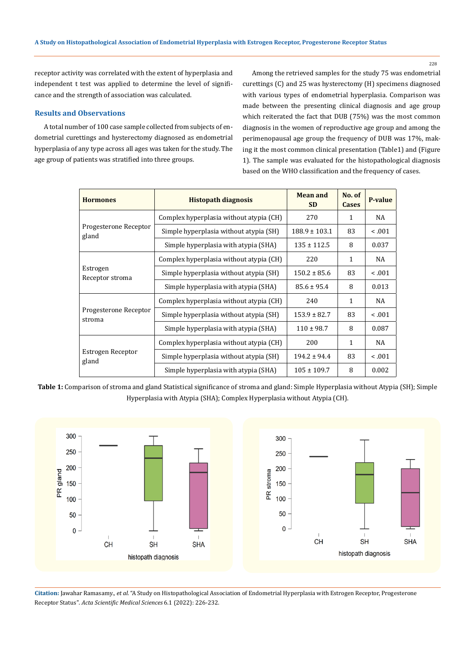228

receptor activity was correlated with the extent of hyperplasia and independent t test was applied to determine the level of significance and the strength of association was calculated.

## **Results and Observations**

A total number of 100 case sample collected from subjects of endometrial curettings and hysterectomy diagnosed as endometrial hyperplasia of any type across all ages was taken for the study. The age group of patients was stratified into three groups.

Among the retrieved samples for the study 75 was endometrial curettings (C) and 25 was hysterectomy (H) specimens diagnosed with various types of endometrial hyperplasia. Comparison was made between the presenting clinical diagnosis and age group which reiterated the fact that DUB (75%) was the most common diagnosis in the women of reproductive age group and among the perimenopausal age group the frequency of DUB was 17%, making it the most common clinical presentation (Table1) and (Figure 1). The sample was evaluated for the histopathological diagnosis based on the WHO classification and the frequency of cases.

| <b>Hormones</b>                 | <b>Histopath diagnosis</b>              | <b>Mean and</b><br><b>SD</b> | No. of<br><b>Cases</b> | <b>P-value</b> |
|---------------------------------|-----------------------------------------|------------------------------|------------------------|----------------|
| Progesterone Receptor<br>gland  | Complex hyperplasia without atypia (CH) | 270                          | 1                      | NA             |
|                                 | Simple hyperplasia without atypia (SH)  | $188.9 \pm 103.1$            | 83                     | < 0.001        |
|                                 | Simple hyperplasia with atypia (SHA)    | $135 \pm 112.5$              | 8                      | 0.037          |
| Estrogen<br>Receptor stroma     | Complex hyperplasia without atypia (CH) | 220                          | 1                      | NA             |
|                                 | Simple hyperplasia without atypia (SH)  | $150.2 \pm 85.6$             | 83                     | 0.001          |
|                                 | Simple hyperplasia with atypia (SHA)    | $85.6 \pm 95.4$              | 8                      | 0.013          |
| Progesterone Receptor<br>stroma | Complex hyperplasia without atypia (CH) | 240                          | 1                      | NA             |
|                                 | Simple hyperplasia without atypia (SH)  | $153.9 \pm 82.7$             | 83                     | < 0.001        |
|                                 | Simple hyperplasia with atypia (SHA)    | $110 \pm 98.7$               | 8                      | 0.087          |
| Estrogen Receptor<br>gland      | Complex hyperplasia without atypia (CH) | 200                          | 1                      | NA             |
|                                 | Simple hyperplasia without atypia (SH)  | $194.2 \pm 94.4$             | 83                     | < 0.001        |
|                                 | Simple hyperplasia with atypia (SHA)    | $105 \pm 109.7$              | 8                      | 0.002          |

**Table 1:** Comparison of stroma and gland Statistical significance of stroma and gland: Simple Hyperplasia without Atypia (SH); Simple Hyperplasia with Atypia (SHA); Complex Hyperplasia without Atypia (CH).



**Citation:** Jawahar Ramasamy*., et al.* "A Study on Histopathological Association of Endometrial Hyperplasia with Estrogen Receptor, Progesterone Receptor Status". *Acta Scientific Medical Sciences* 6.1 (2022): 226-232.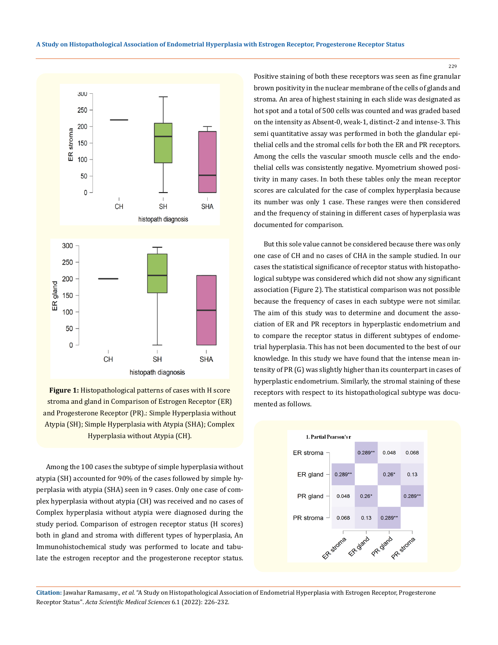



Among the 100 cases the subtype of simple hyperplasia without atypia (SH) accounted for 90% of the cases followed by simple hyperplasia with atypia (SHA) seen in 9 cases. Only one case of complex hyperplasia without atypia (CH) was received and no cases of Complex hyperplasia without atypia were diagnosed during the study period. Comparison of estrogen receptor status (H scores) both in gland and stroma with different types of hyperplasia, An Immunohistochemical study was performed to locate and tabulate the estrogen receptor and the progesterone receptor status.

Positive staining of both these receptors was seen as fine granular brown positivity in the nuclear membrane of the cells of glands and stroma. An area of highest staining in each slide was designated as hot spot and a total of 500 cells was counted and was graded based on the intensity as Absent-0, weak-1, distinct-2 and intense-3. This semi quantitative assay was performed in both the glandular epithelial cells and the stromal cells for both the ER and PR receptors. Among the cells the vascular smooth muscle cells and the endothelial cells was consistently negative. Myometrium showed positivity in many cases. In both these tables only the mean receptor scores are calculated for the case of complex hyperplasia because its number was only 1 case. These ranges were then considered and the frequency of staining in different cases of hyperplasia was documented for comparison.

But this sole value cannot be considered because there was only one case of CH and no cases of CHA in the sample studied. In our cases the statistical significance of receptor status with histopathological subtype was considered which did not show any significant association (Figure 2). The statistical comparison was not possible because the frequency of cases in each subtype were not similar. The aim of this study was to determine and document the association of ER and PR receptors in hyperplastic endometrium and to compare the receptor status in different subtypes of endometrial hyperplasia. This has not been documented to the best of our knowledge. In this study we have found that the intense mean intensity of PR (G) was slightly higher than its counterpart in cases of hyperplastic endometrium. Similarly, the stromal staining of these receptors with respect to its histopathological subtype was documented as follows.



**Citation:** Jawahar Ramasamy*., et al.* "A Study on Histopathological Association of Endometrial Hyperplasia with Estrogen Receptor, Progesterone Receptor Status". *Acta Scientific Medical Sciences* 6.1 (2022): 226-232.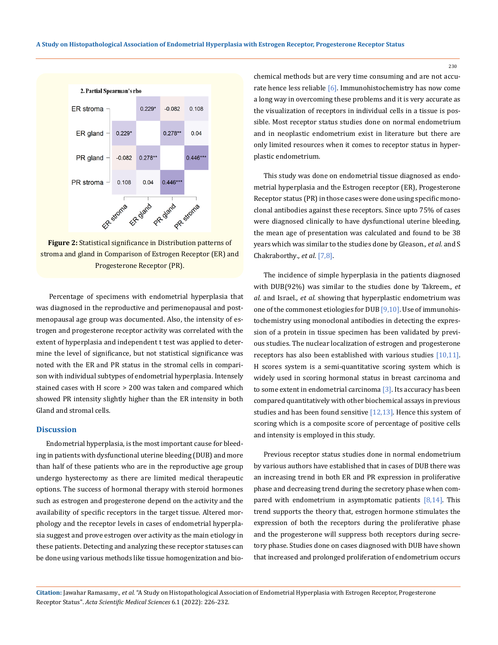



Percentage of specimens with endometrial hyperplasia that was diagnosed in the reproductive and perimenopausal and postmenopausal age group was documented. Also, the intensity of estrogen and progesterone receptor activity was correlated with the extent of hyperplasia and independent t test was applied to determine the level of significance, but not statistical significance was noted with the ER and PR status in the stromal cells in comparison with individual subtypes of endometrial hyperplasia. Intensely stained cases with H score > 200 was taken and compared which showed PR intensity slightly higher than the ER intensity in both Gland and stromal cells.

## **Discussion**

Endometrial hyperplasia, is the most important cause for bleeding in patients with dysfunctional uterine bleeding (DUB) and more than half of these patients who are in the reproductive age group undergo hysterectomy as there are limited medical therapeutic options. The success of hormonal therapy with steroid hormones such as estrogen and progesterone depend on the activity and the availability of specific receptors in the target tissue. Altered morphology and the receptor levels in cases of endometrial hyperplasia suggest and prove estrogen over activity as the main etiology in these patients. Detecting and analyzing these receptor statuses can be done using various methods like tissue homogenization and biochemical methods but are very time consuming and are not accurate hence less reliable [6]. Immunohistochemistry has now come a long way in overcoming these problems and it is very accurate as the visualization of receptors in individual cells in a tissue is possible. Most receptor status studies done on normal endometrium and in neoplastic endometrium exist in literature but there are only limited resources when it comes to receptor status in hyperplastic endometrium.

This study was done on endometrial tissue diagnosed as endometrial hyperplasia and the Estrogen receptor (ER), Progesterone Receptor status (PR) in those cases were done using specific monoclonal antibodies against these receptors. Since upto 75% of cases were diagnosed clinically to have dysfunctional uterine bleeding, the mean age of presentation was calculated and found to be 38 years which was similar to the studies done by Gleason*., et al.* and S Chakraborthy*., et al.* [7,8].

The incidence of simple hyperplasia in the patients diagnosed with DUB(92%) was similar to the studies done by Takreem*., et al.* and Israel*., et al.* showing that hyperplastic endometrium was one of the commonest etiologies for DUB  $[9,10]$ . Use of immunohistochemistry using monoclonal antibodies in detecting the expression of a protein in tissue specimen has been validated by previous studies. The nuclear localization of estrogen and progesterone receptors has also been established with various studies [10,11]. H scores system is a semi-quantitative scoring system which is widely used in scoring hormonal status in breast carcinoma and to some extent in endometrial carcinoma [3]. Its accuracy has been compared quantitatively with other biochemical assays in previous studies and has been found sensitive  $[12,13]$ . Hence this system of scoring which is a composite score of percentage of positive cells and intensity is employed in this study.

Previous receptor status studies done in normal endometrium by various authors have established that in cases of DUB there was an increasing trend in both ER and PR expression in proliferative phase and decreasing trend during the secretory phase when compared with endometrium in asymptomatic patients [8,14]. This trend supports the theory that, estrogen hormone stimulates the expression of both the receptors during the proliferative phase and the progesterone will suppress both receptors during secretory phase. Studies done on cases diagnosed with DUB have shown that increased and prolonged proliferation of endometrium occurs

**Citation:** Jawahar Ramasamy*., et al.* "A Study on Histopathological Association of Endometrial Hyperplasia with Estrogen Receptor, Progesterone Receptor Status". *Acta Scientific Medical Sciences* 6.1 (2022): 226-232.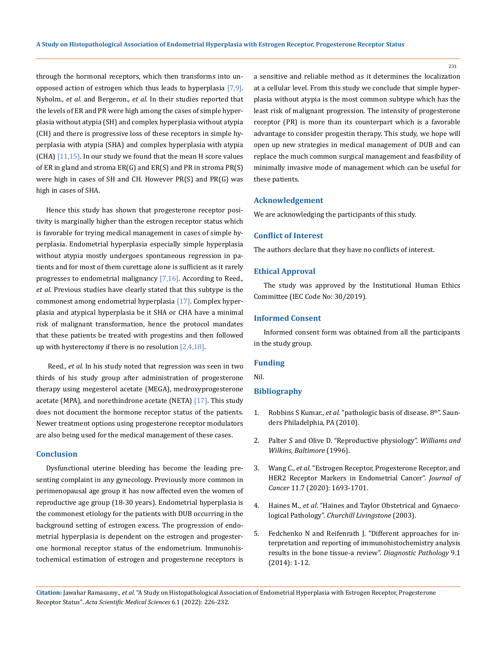through the hormonal receptors, which then transforms into unopposed action of estrogen which thus leads to hyperplasia [7,9]. Nyholm*., et al*. and Bergeron.*, et al.* In their studies reported that the levels of ER and PR were high among the cases of simple hyperplasia without atypia (SH) and complex hyperplasia without atypia (CH) and there is progressive loss of these receptors in simple hyperplasia with atypia (SHA) and complex hyperplasia with atypia  $[CHA]$   $[11,15]$ . In our study we found that the mean H score values of ER in gland and stroma ER(G) and ER(S) and PR in stroma PR(S) were high in cases of SH and CH. However PR(S) and PR(G) was high in cases of SHA.

Hence this study has shown that progesterone receptor positivity is marginally higher than the estrogen receptor status which is favorable for trying medical management in cases of simple hyperplasia. Endometrial hyperplasia especially simple hyperplasia without atypia mostly undergoes spontaneous regression in patients and for most of them curettage alone is sufficient as it rarely progresses to endometrial malignancy [7,16]. According to Reed.*, et al.* Previous studies have clearly stated that this subtype is the commonest among endometrial hyperplasia [17]. Complex hyperplasia and atypical hyperplasia be it SHA or CHA have a minimal risk of malignant transformation, hence the protocol mandates that these patients be treated with progestins and then followed up with hysterectomy if there is no resolution  $[2,4,18]$ .

 Reed.*, et al.* In his study noted that regression was seen in two thirds of his study group after administration of progesterone therapy using megesterol acetate (MEGA), medroxyprogesterone acetate (MPA), and norethindrone acetate (NETA) [17]. This study does not document the hormone receptor status of the patients. Newer treatment options using progesterone receptor modulators are also being used for the medical management of these cases.

#### **Conclusion**

Dysfunctional uterine bleeding has become the leading presenting complaint in any gynecology. Previously more common in perimenopausal age group it has now affected even the women of reproductive age group (18-30 years). Endometrial hyperplasia is the commonest etiology for the patients with DUB occurring in the background setting of estrogen excess. The progression of endometrial hyperplasia is dependent on the estrogen and progesterone hormonal receptor status of the endometrium. Immunohistochemical estimation of estrogen and progesterone receptors is

a sensitive and reliable method as it determines the localization at a cellular level. From this study we conclude that simple hyperplasia without atypia is the most common subtype which has the least risk of malignant progression. The intensity of progesterone receptor (PR) is more than its counterpart which is a favorable advantage to consider progestin therapy. This study, we hope will open up new strategies in medical management of DUB and can replace the much common surgical management and feasibility of minimally invasive mode of management which can be useful for these patients.

## **Acknowledgement**

We are acknowledging the participants of this study.

#### **Conflict of Interest**

The authors declare that they have no conflicts of interest.

#### **Ethical Approval**

The study was approved by the Institutional Human Ethics Committee (IEC Code No: 30/2019).

## **Informed Consent**

Informed consent form was obtained from all the participants in the study group.

#### **Funding**

Nil.

## **Bibliography**

- 1. Robbins S Kumar., *et al*[. "pathologic basis of disease. 8](https://dokumen.pub/robbins-amp-cotran-pathologic-basis-of-disease-robbins-pathology-10nbsped-032353113x-9780323531139.html)th". Saun[ders Philadelphia, PA \(2010\).](https://dokumen.pub/robbins-amp-cotran-pathologic-basis-of-disease-robbins-pathology-10nbsped-032353113x-9780323531139.html)
- 2. Palter S and Olive D. "Reproductive physiology". *Williams and Wilkins, Baltimore* (1996).
- 3. Wang C., *et al*[. "Estrogen Receptor, Progesterone Receptor, and](https://www.ncbi.nlm.nih.gov/pmc/articles/PMC7052878/)  [HER2 Receptor Markers in Endometrial Cancer".](https://www.ncbi.nlm.nih.gov/pmc/articles/PMC7052878/) *Journal of Cancer* [11.7 \(2020\): 1693-1701.](https://www.ncbi.nlm.nih.gov/pmc/articles/PMC7052878/)
- 4. Haines M., *et al*[. "Haines and Taylor Obstetrical and Gynaeco](https://www.worldcat.org/title/haines-taylor-obstetrical-and-gynaecological-pathology/oclc/51215375)logical Pathology". *[Churchill Livingstone](https://www.worldcat.org/title/haines-taylor-obstetrical-and-gynaecological-pathology/oclc/51215375)* (2003).
- 5. [Fedchenko N and Reifenrath J. "Different approaches for in](https://pubmed.ncbi.nlm.nih.gov/25432701/)[terpretation and reporting of immunohistochemistry analysis](https://pubmed.ncbi.nlm.nih.gov/25432701/)  [results in the bone tissue-a review".](https://pubmed.ncbi.nlm.nih.gov/25432701/) *Diagnostic Pathology* 9.1 [\(2014\): 1-12.](https://pubmed.ncbi.nlm.nih.gov/25432701/)

**Citation:** Jawahar Ramasamy*., et al.* "A Study on Histopathological Association of Endometrial Hyperplasia with Estrogen Receptor, Progesterone Receptor Status". *Acta Scientific Medical Sciences* 6.1 (2022): 226-232.